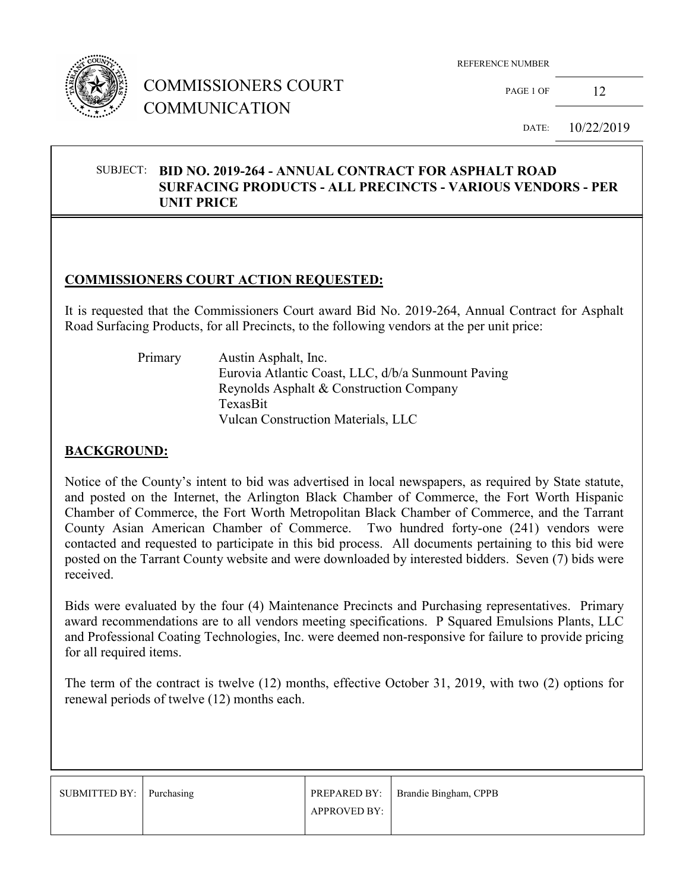

## COMMISSIONERS COURT COMMUNICATION

REFERENCE NUMBER

PAGE 1 OF 12

DATE: 10/22/2019

#### SUBJECT: **BID NO. 2019-264 - ANNUAL CONTRACT FOR ASPHALT ROAD SURFACING PRODUCTS - ALL PRECINCTS - VARIOUS VENDORS - PER UNIT PRICE**

#### **COMMISSIONERS COURT ACTION REQUESTED:**

It is requested that the Commissioners Court award Bid No. 2019-264, Annual Contract for Asphalt Road Surfacing Products, for all Precincts, to the following vendors at the per unit price:

 Primary Austin Asphalt, Inc. Eurovia Atlantic Coast, LLC, d/b/a Sunmount Paving Reynolds Asphalt & Construction Company TexasBit Vulcan Construction Materials, LLC

#### **BACKGROUND:**

Notice of the County's intent to bid was advertised in local newspapers, as required by State statute, and posted on the Internet, the Arlington Black Chamber of Commerce, the Fort Worth Hispanic Chamber of Commerce, the Fort Worth Metropolitan Black Chamber of Commerce, and the Tarrant County Asian American Chamber of Commerce. Two hundred forty-one (241) vendors were contacted and requested to participate in this bid process. All documents pertaining to this bid were posted on the Tarrant County website and were downloaded by interested bidders. Seven (7) bids were received.

Bids were evaluated by the four (4) Maintenance Precincts and Purchasing representatives. Primary award recommendations are to all vendors meeting specifications. P Squared Emulsions Plants, LLC and Professional Coating Technologies, Inc. were deemed non-responsive for failure to provide pricing for all required items.

The term of the contract is twelve (12) months, effective October 31, 2019, with two (2) options for renewal periods of twelve (12) months each.

| SUBMITTED BY:   Purchasing |                     | <b>PREPARED BY:</b>   Brandie Bingham, CPPB |
|----------------------------|---------------------|---------------------------------------------|
|                            | <b>APPROVED BY:</b> |                                             |